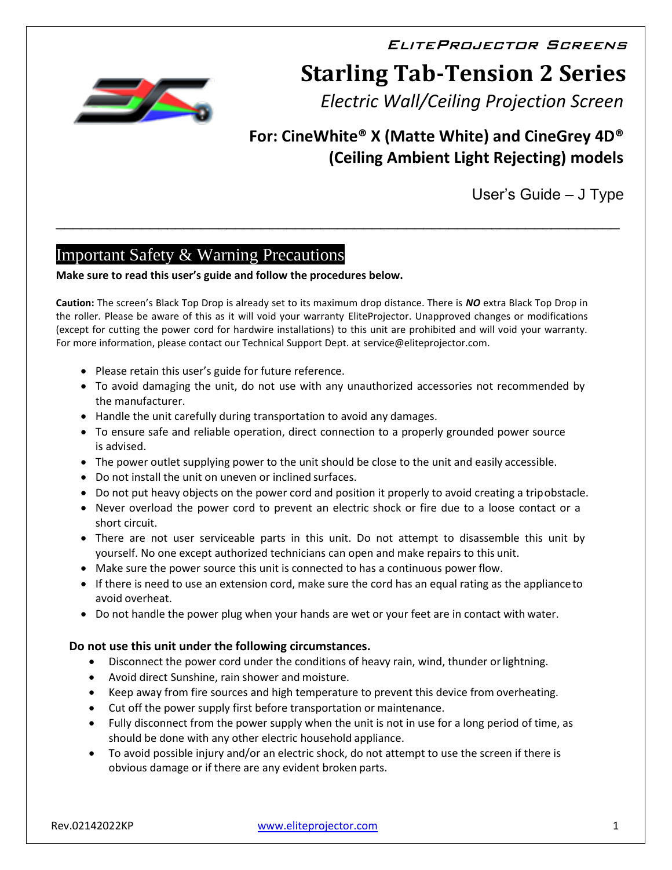EliteProjector Screens

# **Starling Tab-Tension 2 Series**

*Electric Wall/Ceiling Projection Screen*

# **For: CineWhite® X (Matte White) and CineGrey 4D® (Ceiling Ambient Light Rejecting) models**

User's Guide – J Type

# Important Safety & Warning Precautions

#### **Make sure to read this user's guide and follow the procedures below.**

**Caution:** The screen's Black Top Drop is already set to its maximum drop distance. There is *NO* extra Black Top Drop in the roller. Please be aware of this as it will void your warranty EliteProjector. Unapproved changes or modifications (except for cutting the power cord for hardwire installations) to this unit are prohibited and will void your warranty. For more information, please contact our Technical Support Dept. at service@eliteprojector.com.

\_\_\_\_\_\_\_\_\_\_\_\_\_\_\_\_\_\_\_\_\_\_\_\_\_\_\_\_\_\_\_\_\_\_\_\_\_\_\_\_\_\_\_\_\_\_\_\_\_\_\_\_\_\_\_\_\_\_\_\_\_\_\_\_\_\_

- Please retain this user's guide for future reference.
- To avoid damaging the unit, do not use with any unauthorized accessories not recommended by the manufacturer.
- Handle the unit carefully during transportation to avoid any damages.
- To ensure safe and reliable operation, direct connection to a properly grounded power source is advised.
- The power outlet supplying power to the unit should be close to the unit and easily accessible.
- Do not install the unit on uneven or inclined surfaces.
- Do not put heavy objects on the power cord and position it properly to avoid creating a tripobstacle.
- Never overload the power cord to prevent an electric shock or fire due to a loose contact or a short circuit.
- There are not user serviceable parts in this unit. Do not attempt to disassemble this unit by yourself. No one except authorized technicians can open and make repairs to this unit.
- Make sure the power source this unit is connected to has a continuous power flow.
- If there is need to use an extension cord, make sure the cord has an equal rating as the applianceto avoid overheat.
- Do not handle the power plug when your hands are wet or your feet are in contact with water.

#### **Do not use this unit under the following circumstances.**

- Disconnect the power cord under the conditions of heavy rain, wind, thunder or lightning.
- Avoid direct Sunshine, rain shower and moisture.
- Keep away from fire sources and high temperature to prevent this device from overheating.
- Cut off the power supply first before transportation or maintenance.
- Fully disconnect from the power supply when the unit is not in use for a long period of time, as should be done with any other electric household appliance.
- To avoid possible injury and/or an electric shock, do not attempt to use the screen if there is obvious damage or if there are any evident broken parts.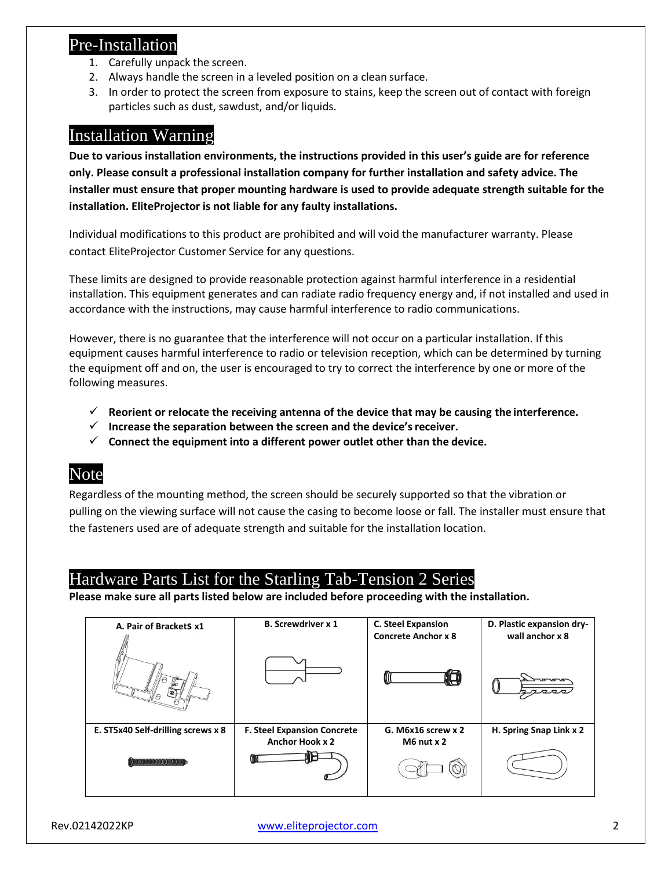## Pre-Installation

- 1. Carefully unpack the screen.
- 2. Always handle the screen in a leveled position on a clean surface.
- 3. In order to protect the screen from exposure to stains, keep the screen out of contact with foreign particles such as dust, sawdust, and/or liquids.

## Installation Warning

**Due to various installation environments, the instructions provided in this user's guide are for reference only. Please consult a professional installation company for further installation and safety advice. The installer must ensure that proper mounting hardware is used to provide adequate strength suitable for the installation. EliteProjector is not liable for any faulty installations.**

Individual modifications to this product are prohibited and will void the manufacturer warranty. Please contact EliteProjector Customer Service for any questions.

These limits are designed to provide reasonable protection against harmful interference in a residential installation. This equipment generates and can radiate radio frequency energy and, if not installed and used in accordance with the instructions, may cause harmful interference to radio communications.

However, there is no guarantee that the interference will not occur on a particular installation. If this equipment causes harmful interference to radio or television reception, which can be determined by turning the equipment off and on, the user is encouraged to try to correct the interference by one or more of the following measures.

- ✓ **Reorient or relocate the receiving antenna of the device that may be causing the interference.**
- ✓ **Increase the separation between the screen and the device'sreceiver.**
- ✓ **Connect the equipment into a different power outlet other than the device.**

## Note

Regardless of the mounting method, the screen should be securely supported so that the vibration or pulling on the viewing surface will not cause the casing to become loose or fall. The installer must ensure that the fasteners used are of adequate strength and suitable for the installation location.

## Hardware Parts List for the Starling Tab-Tension 2 Series

**Please make sure all parts listed below are included before proceeding with the installation.**

| A. Pair of BracketS x1             | <b>B. Screwdriver x 1</b>          | <b>C. Steel Expansion</b><br><b>Concrete Anchor x 8</b> | D. Plastic expansion dry-<br>wall anchor x 8 |
|------------------------------------|------------------------------------|---------------------------------------------------------|----------------------------------------------|
|                                    |                                    |                                                         |                                              |
| E. ST5x40 Self-drilling screws x 8 | <b>F. Steel Expansion Concrete</b> | G. M6x16 screw x 2                                      | H. Spring Snap Link x 2                      |
|                                    | <b>Anchor Hook x 2</b>             | $M6$ nut $x$ 2                                          |                                              |
| <b>MMMMMMMMMMMM</b>                |                                    |                                                         |                                              |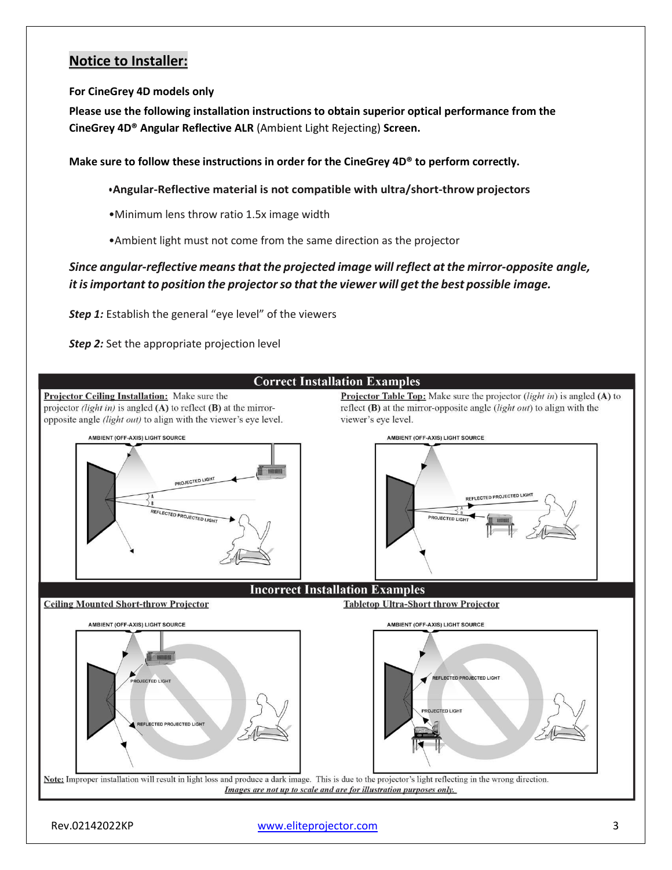## **Notice to Installer:**

**For CineGrey 4D models only**

**Please use the following installation instructions to obtain superior optical performance from the CineGrey 4D® Angular Reflective ALR** (Ambient Light Rejecting) **Screen.**

**Make sure to follow these instructions in order for the CineGrey 4D® to perform correctly.**

**•Angular-Reflective material is not compatible with ultra/short-throw projectors**

•Minimum lens throw ratio 1.5x image width

•Ambient light must not come from the same direction as the projector

*Since angular-reflective meansthat the projected image will reflect atthe mirror-opposite angle, it isimportant to position the projectorso that the viewer will getthe best possible image.*

**Step 1:** Establish the general "eye level" of the viewers

**Step 2:** Set the appropriate projection level



Rev.02142022KP [www.eliteprojector.com](http://www.eliteprojector.com/) 3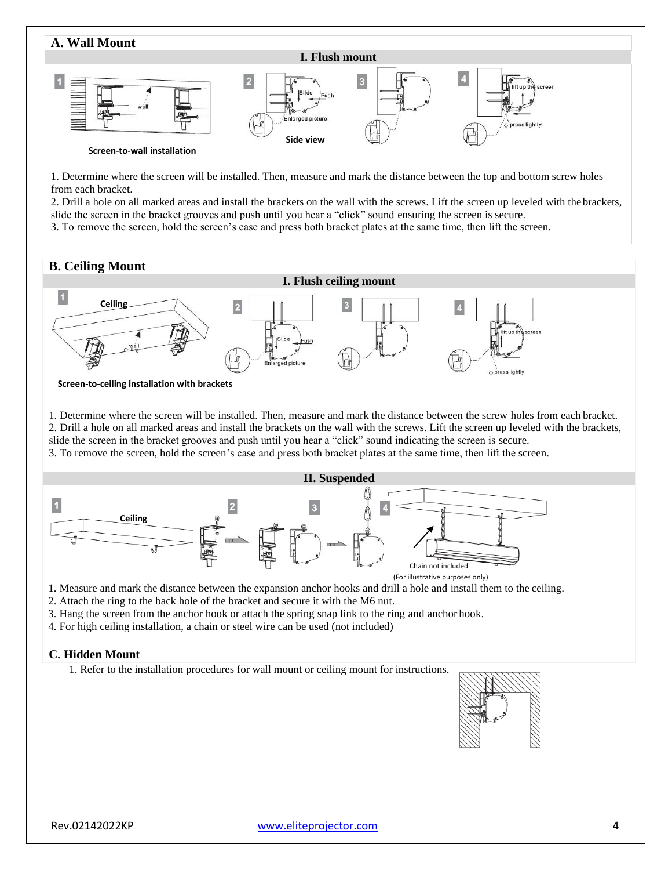

1. Determine where the screen will be installed. Then, measure and mark the distance between the top and bottom screw holes from each bracket.

2. Drill a hole on all marked areas and install the brackets on the wall with the screws. Lift the screen up leveled with thebrackets, slide the screen in the bracket grooves and push until you hear a "click" sound ensuring the screen is secure.

3. To remove the screen, hold the screen's case and press both bracket plates at the same time, then lift the screen.

#### **B. Ceiling Mount**



**Screen-to-ceiling installation with brackets**

1. Determine where the screen will be installed. Then, measure and mark the distance between the screw holes from each bracket. 2. Drill a hole on all marked areas and install the brackets on the wall with the screws. Lift the screen up leveled with the brackets, slide the screen in the bracket grooves and push until you hear a "click" sound indicating the screen is secure.

3. To remove the screen, hold the screen's case and press both bracket plates at the same time, then lift the screen.



1. Measure and mark the distance between the expansion anchor hooks and drill a hole and install them to the ceiling.

2. Attach the ring to the back hole of the bracket and secure it with the M6 nut.

3. Hang the screen from the anchor hook or attach the spring snap link to the ring and anchor hook.

4. For high ceiling installation, a chain or steel wire can be used (not included)

#### **C. Hidden Mount**

1. Refer to the installation procedures for wall mount or ceiling mount for instructions.

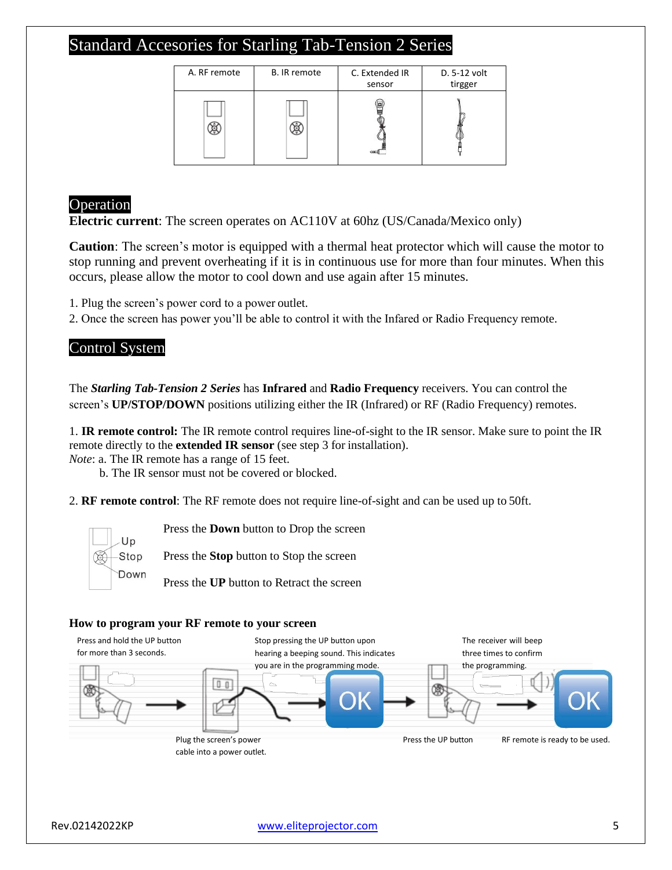# Standard Accesories for Starling Tab-Tension 2 Series

| A. RF remote | B. IR remote | C. Extended IR<br>sensor | D. 5-12 volt<br>tirgger |
|--------------|--------------|--------------------------|-------------------------|
|              |              |                          |                         |

### Operation

**Electric current**: The screen operates on AC110V at 60hz (US/Canada/Mexico only)

**Caution**: The screen's motor is equipped with a thermal heat protector which will cause the motor to stop running and prevent overheating if it is in continuous use for more than four minutes. When this occurs, please allow the motor to cool down and use again after 15 minutes.

1. Plug the screen's power cord to a power outlet.

2. Once the screen has power you'll be able to control it with the Infared or Radio Frequency remote.

## Control System

The *Starling Tab-Tension 2 Series* has **Infrared** and **Radio Frequency** receivers. You can control the screen's **UP/STOP/DOWN** positions utilizing either the IR (Infrared) or RF (Radio Frequency) remotes.

1. **IR remote control:** The IR remote control requires line-of-sight to the IR sensor. Make sure to point the IR remote directly to the **extended IR sensor** (see step 3 for installation).

*Note*: a. The IR remote has a range of 15 feet.

b. The IR sensor must not be covered or blocked.

2. **RF remote control**: The RF remote does not require line-of-sight and can be used up to 50ft.



Press the **Down** button to Drop the screen

Press the **Stop** button to Stop the screen

Press the **UP** button to Retract the screen

#### **How to program your RF remote to your screen**

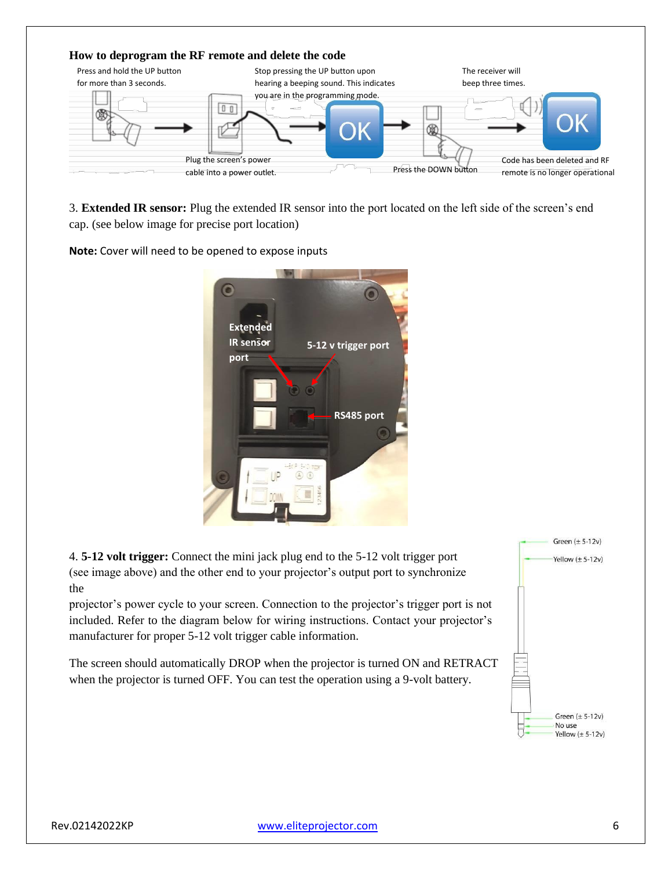

3. **Extended IR sensor:** Plug the extended IR sensor into the port located on the left side of the screen's end cap. (see below image for precise port location)

**Note:** Cover will need to be opened to expose inputs



4. **5-12 volt trigger:** Connect the mini jack plug end to the 5-12 volt trigger port (see image above) and the other end to your projector's output port to synchronize the

projector's power cycle to your screen. Connection to the projector's trigger port is not included. Refer to the diagram below for wiring instructions. Contact your projector's manufacturer for proper 5-12 volt trigger cable information.

The screen should automatically DROP when the projector is turned ON and RETRACT when the projector is turned OFF. You can test the operation using a 9-volt battery.